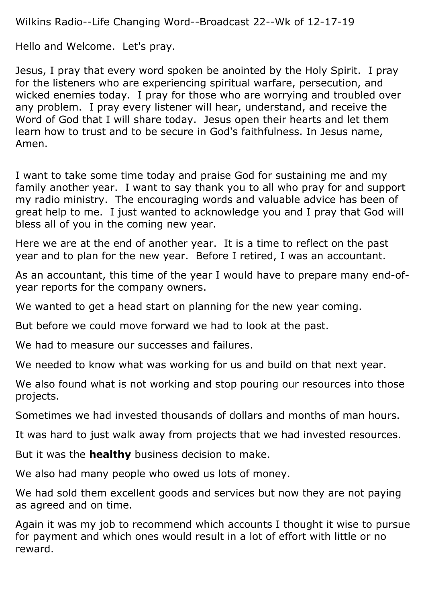Wilkins Radio--Life Changing Word--Broadcast 22--Wk of 12-17-19

Hello and Welcome. Let's pray.

Jesus, I pray that every word spoken be anointed by the Holy Spirit. I pray for the listeners who are experiencing spiritual warfare, persecution, and wicked enemies today. I pray for those who are worrying and troubled over any problem. I pray every listener will hear, understand, and receive the Word of God that I will share today. Jesus open their hearts and let them learn how to trust and to be secure in God's faithfulness. In Jesus name, Amen.

I want to take some time today and praise God for sustaining me and my family another year. I want to say thank you to all who pray for and support my radio ministry. The encouraging words and valuable advice has been of great help to me. I just wanted to acknowledge you and I pray that God will bless all of you in the coming new year.

Here we are at the end of another year. It is a time to reflect on the past year and to plan for the new year. Before I retired, I was an accountant.

As an accountant, this time of the year I would have to prepare many end-ofyear reports for the company owners.

We wanted to get a head start on planning for the new year coming.

But before we could move forward we had to look at the past.

We had to measure our successes and failures.

We needed to know what was working for us and build on that next year.

We also found what is not working and stop pouring our resources into those projects.

Sometimes we had invested thousands of dollars and months of man hours.

It was hard to just walk away from projects that we had invested resources.

But it was the **healthy** business decision to make.

We also had many people who owed us lots of money.

We had sold them excellent goods and services but now they are not paying as agreed and on time.

Again it was my job to recommend which accounts I thought it wise to pursue for payment and which ones would result in a lot of effort with little or no reward.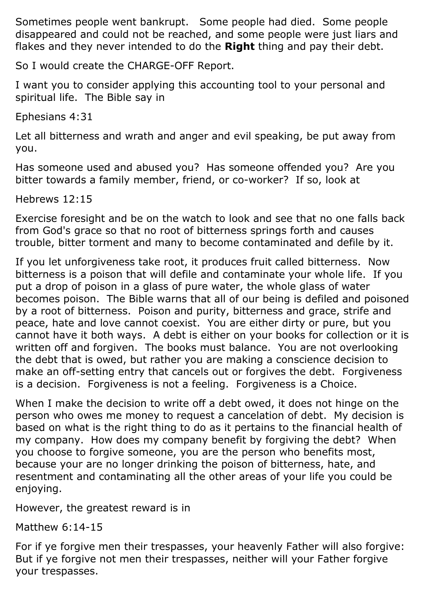Sometimes people went bankrupt. Some people had died. Some people disappeared and could not be reached, and some people were just liars and flakes and they never intended to do the **Right** thing and pay their debt.

So I would create the CHARGE-OFF Report.

I want you to consider applying this accounting tool to your personal and spiritual life. The Bible say in

Ephesians 4:31

Let all bitterness and wrath and anger and evil speaking, be put away from you.

Has someone used and abused you? Has someone offended you? Are you bitter towards a family member, friend, or co-worker? If so, look at

Hebrews 12:15

Exercise foresight and be on the watch to look and see that no one falls back from God's grace so that no root of bitterness springs forth and causes trouble, bitter torment and many to become contaminated and defile by it.

If you let unforgiveness take root, it produces fruit called bitterness. Now bitterness is a poison that will defile and contaminate your whole life. If you put a drop of poison in a glass of pure water, the whole glass of water becomes poison. The Bible warns that all of our being is defiled and poisoned by a root of bitterness. Poison and purity, bitterness and grace, strife and peace, hate and love cannot coexist. You are either dirty or pure, but you cannot have it both ways. A debt is either on your books for collection or it is written off and forgiven. The books must balance. You are not overlooking the debt that is owed, but rather you are making a conscience decision to make an off-setting entry that cancels out or forgives the debt. Forgiveness is a decision. Forgiveness is not a feeling. Forgiveness is a Choice.

When I make the decision to write off a debt owed, it does not hinge on the person who owes me money to request a cancelation of debt. My decision is based on what is the right thing to do as it pertains to the financial health of my company. How does my company benefit by forgiving the debt? When you choose to forgive someone, you are the person who benefits most, because your are no longer drinking the poison of bitterness, hate, and resentment and contaminating all the other areas of your life you could be enjoying.

However, the greatest reward is in

Matthew 6:14-15

For if ye forgive men their trespasses, your heavenly Father will also forgive: But if ye forgive not men their trespasses, neither will your Father forgive your trespasses.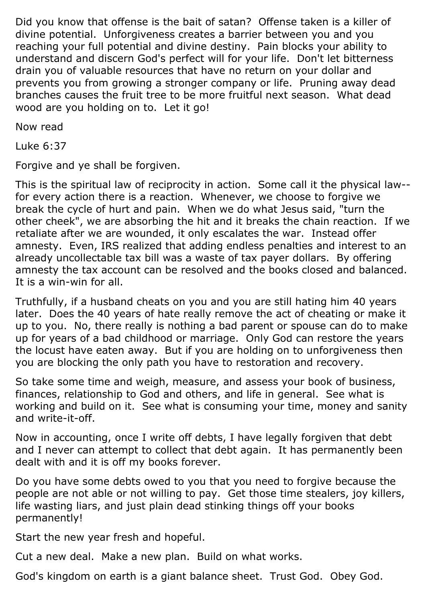Did you know that offense is the bait of satan? Offense taken is a killer of divine potential. Unforgiveness creates a barrier between you and you reaching your full potential and divine destiny. Pain blocks your ability to understand and discern God's perfect will for your life. Don't let bitterness drain you of valuable resources that have no return on your dollar and prevents you from growing a stronger company or life. Pruning away dead branches causes the fruit tree to be more fruitful next season. What dead wood are you holding on to. Let it go!

Now read

Luke 6:37

Forgive and ye shall be forgiven.

This is the spiritual law of reciprocity in action. Some call it the physical law- for every action there is a reaction. Whenever, we choose to forgive we break the cycle of hurt and pain. When we do what Jesus said, "turn the other cheek", we are absorbing the hit and it breaks the chain reaction. If we retaliate after we are wounded, it only escalates the war. Instead offer amnesty. Even, IRS realized that adding endless penalties and interest to an already uncollectable tax bill was a waste of tax payer dollars. By offering amnesty the tax account can be resolved and the books closed and balanced. It is a win-win for all.

Truthfully, if a husband cheats on you and you are still hating him 40 years later. Does the 40 years of hate really remove the act of cheating or make it up to you. No, there really is nothing a bad parent or spouse can do to make up for years of a bad childhood or marriage. Only God can restore the years the locust have eaten away. But if you are holding on to unforgiveness then you are blocking the only path you have to restoration and recovery.

So take some time and weigh, measure, and assess your book of business, finances, relationship to God and others, and life in general. See what is working and build on it. See what is consuming your time, money and sanity and write-it-off.

Now in accounting, once I write off debts, I have legally forgiven that debt and I never can attempt to collect that debt again. It has permanently been dealt with and it is off my books forever.

Do you have some debts owed to you that you need to forgive because the people are not able or not willing to pay. Get those time stealers, joy killers, life wasting liars, and just plain dead stinking things off your books permanently!

Start the new year fresh and hopeful.

Cut a new deal. Make a new plan. Build on what works.

God's kingdom on earth is a giant balance sheet. Trust God. Obey God.